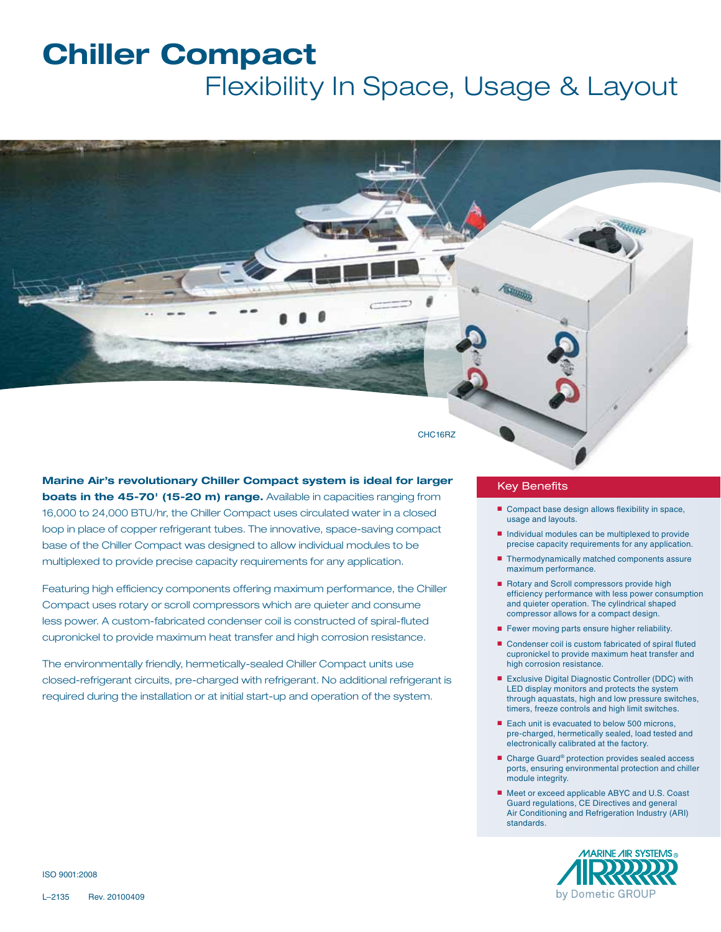# **Chiller Compact** Flexibility In Space, Usage & Layout

CHC16RZ

**Marine Air's revolutionary Chiller Compact system is ideal for larger boats in the 45-70' (15-20 m) range.** Available in capacities ranging from 16,000 to 24,000 BTU/hr, the Chiller Compact uses circulated water in a closed loop in place of copper refrigerant tubes. The innovative, space-saving compact base of the Chiller Compact was designed to allow individual modules to be multiplexed to provide precise capacity requirements for any application.

Featuring high efficiency components offering maximum performance, the Chiller Compact uses rotary or scroll compressors which are quieter and consume less power. A custom-fabricated condenser coil is constructed of spiral-fluted cupronickel to provide maximum heat transfer and high corrosion resistance.

The environmentally friendly, hermetically-sealed Chiller Compact units use closed-refrigerant circuits, pre-charged with refrigerant. No additional refrigerant is required during the installation or at initial start-up and operation of the system.

### Key Benefits

- Compact base design allows flexibility in space, usage and layouts.
- Individual modules can be multiplexed to provide precise capacity requirements for any application.
- Thermodynamically matched components assure maximum performance.
- Rotary and Scroll compressors provide high efficiency performance with less power consumption and quieter operation. The cylindrical shaped compressor allows for a compact design.
- Fewer moving parts ensure higher reliability.
- Condenser coil is custom fabricated of spiral fluted cupronickel to provide maximum heat transfer and high corrosion resistance.
- Exclusive Digital Diagnostic Controller (DDC) with LED display monitors and protects the system through aquastats, high and low pressure switches, timers, freeze controls and high limit switches.
- Each unit is evacuated to below 500 microns, pre-charged, hermetically sealed, load tested and electronically calibrated at the factory.
- Charge Guard<sup>®</sup> protection provides sealed access ports, ensuring environmental protection and chiller module integrity.
- Meet or exceed applicable ABYC and U.S. Coast Guard regulations, CE Directives and general Air Conditioning and Refrigeration Industry (ARI) standards.



ISO 9001:2008